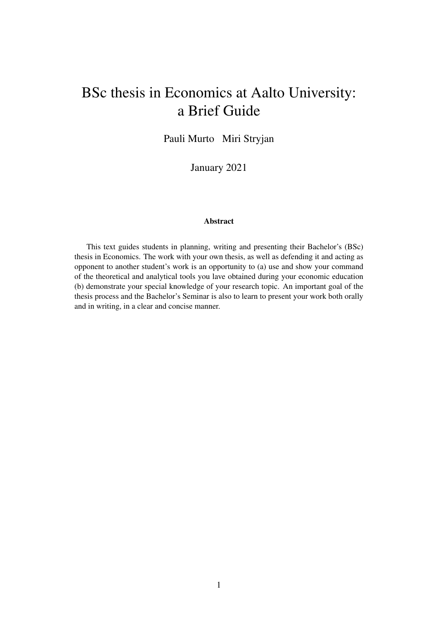# BSc thesis in Economics at Aalto University: a Brief Guide

Pauli Murto Miri Stryjan

January 2021

#### Abstract

This text guides students in planning, writing and presenting their Bachelor's (BSc) thesis in Economics. The work with your own thesis, as well as defending it and acting as opponent to another student's work is an opportunity to (a) use and show your command of the theoretical and analytical tools you lave obtained during your economic education (b) demonstrate your special knowledge of your research topic. An important goal of the thesis process and the Bachelor's Seminar is also to learn to present your work both orally and in writing, in a clear and concise manner.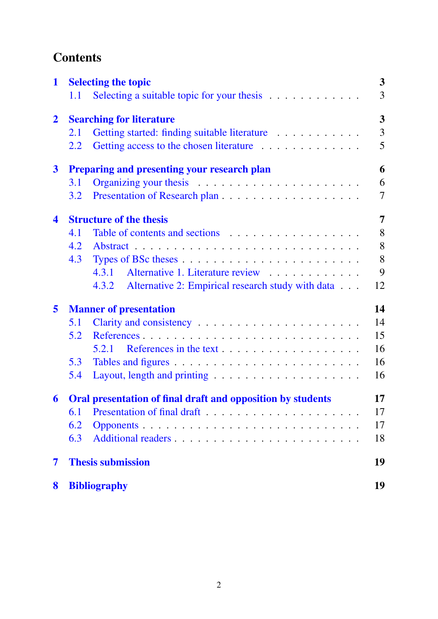# **Contents**

| 1                    |                                 | <b>Selecting the topic</b>                                     | $\mathbf{3}$            |
|----------------------|---------------------------------|----------------------------------------------------------------|-------------------------|
|                      | 1.1                             | Selecting a suitable topic for your thesis $\dots \dots \dots$ | 3                       |
| $\overline{2}$       | <b>Searching for literature</b> |                                                                | $\overline{\mathbf{3}}$ |
|                      | 2.1                             | Getting started: finding suitable literature                   | $\overline{3}$          |
|                      | 2.2                             |                                                                | 5                       |
| $\mathbf{3}$         |                                 | <b>Preparing and presenting your research plan</b>             | 6                       |
|                      | 3.1                             |                                                                | 6                       |
|                      | 3.2                             |                                                                | $\overline{7}$          |
| $\blacktriangleleft$ |                                 | <b>Structure of the thesis</b>                                 | 7                       |
|                      | 4.1                             |                                                                | 8                       |
|                      | 4.2                             |                                                                | 8                       |
|                      | 4.3                             |                                                                | 8                       |
|                      |                                 | Alternative 1. Literature review<br>4.3.1                      | 9                       |
|                      |                                 | Alternative 2: Empirical research study with data<br>4.3.2     | 12                      |
| 5                    | <b>Manner of presentation</b>   |                                                                | 14                      |
|                      | 5.1                             |                                                                | 14                      |
|                      | 5.2                             | References                                                     | 15                      |
|                      |                                 | 5.2.1                                                          | 16                      |
|                      | 5.3                             |                                                                | 16                      |
|                      | 5.4                             |                                                                | 16                      |
| 6                    |                                 | Oral presentation of final draft and opposition by students    | 17                      |
|                      | 6.1                             |                                                                | 17                      |
|                      | 6.2                             |                                                                | 17                      |
|                      | 6.3                             |                                                                | 18                      |
| 7                    |                                 | <b>Thesis submission</b>                                       | 19                      |
| 8                    |                                 | <b>Bibliography</b>                                            | 19                      |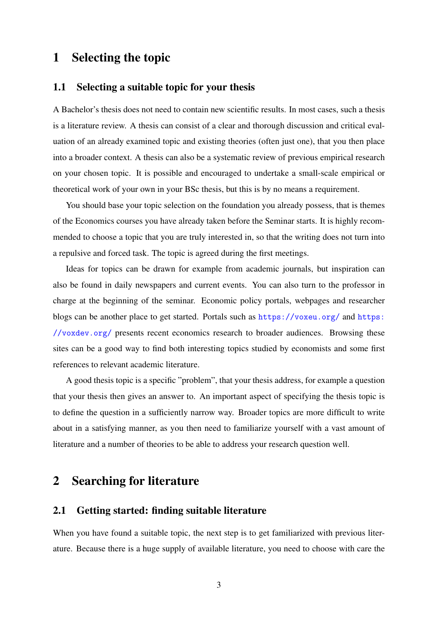# <span id="page-2-0"></span>1 Selecting the topic

# <span id="page-2-1"></span>1.1 Selecting a suitable topic for your thesis

A Bachelor's thesis does not need to contain new scientific results. In most cases, such a thesis is a literature review. A thesis can consist of a clear and thorough discussion and critical evaluation of an already examined topic and existing theories (often just one), that you then place into a broader context. A thesis can also be a systematic review of previous empirical research on your chosen topic. It is possible and encouraged to undertake a small-scale empirical or theoretical work of your own in your BSc thesis, but this is by no means a requirement.

You should base your topic selection on the foundation you already possess, that is themes of the Economics courses you have already taken before the Seminar starts. It is highly recommended to choose a topic that you are truly interested in, so that the writing does not turn into a repulsive and forced task. The topic is agreed during the first meetings.

Ideas for topics can be drawn for example from academic journals, but inspiration can also be found in daily newspapers and current events. You can also turn to the professor in charge at the beginning of the seminar. Economic policy portals, webpages and researcher blogs can be another place to get started. Portals such as  $https://voxeu.org/$  and  $https:$ [//voxdev.org/](https://voxdev.org/) presents recent economics research to broader audiences. Browsing these sites can be a good way to find both interesting topics studied by economists and some first references to relevant academic literature.

A good thesis topic is a specific "problem", that your thesis address, for example a question that your thesis then gives an answer to. An important aspect of specifying the thesis topic is to define the question in a sufficiently narrow way. Broader topics are more difficult to write about in a satisfying manner, as you then need to familiarize yourself with a vast amount of literature and a number of theories to be able to address your research question well.

# <span id="page-2-2"></span>2 Searching for literature

# <span id="page-2-3"></span>2.1 Getting started: finding suitable literature

When you have found a suitable topic, the next step is to get familiarized with previous literature. Because there is a huge supply of available literature, you need to choose with care the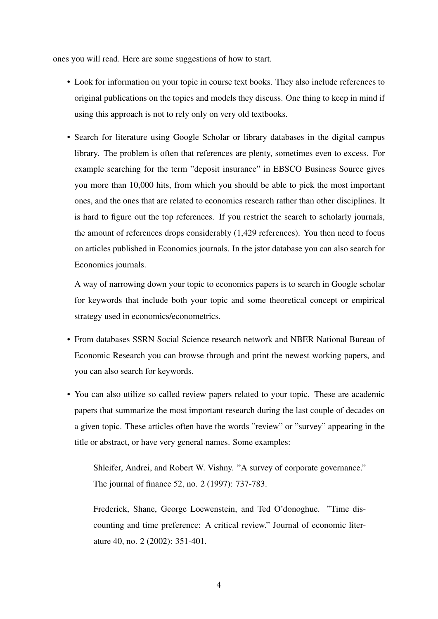ones you will read. Here are some suggestions of how to start.

- Look for information on your topic in course text books. They also include references to original publications on the topics and models they discuss. One thing to keep in mind if using this approach is not to rely only on very old textbooks.
- Search for literature using Google Scholar or library databases in the digital campus library. The problem is often that references are plenty, sometimes even to excess. For example searching for the term "deposit insurance" in EBSCO Business Source gives you more than 10,000 hits, from which you should be able to pick the most important ones, and the ones that are related to economics research rather than other disciplines. It is hard to figure out the top references. If you restrict the search to scholarly journals, the amount of references drops considerably (1,429 references). You then need to focus on articles published in Economics journals. In the jstor database you can also search for Economics journals.

A way of narrowing down your topic to economics papers is to search in Google scholar for keywords that include both your topic and some theoretical concept or empirical strategy used in economics/econometrics.

- From databases SSRN Social Science research network and NBER National Bureau of Economic Research you can browse through and print the newest working papers, and you can also search for keywords.
- You can also utilize so called review papers related to your topic. These are academic papers that summarize the most important research during the last couple of decades on a given topic. These articles often have the words "review" or "survey" appearing in the title or abstract, or have very general names. Some examples:

Shleifer, Andrei, and Robert W. Vishny. "A survey of corporate governance." The journal of finance 52, no. 2 (1997): 737-783.

Frederick, Shane, George Loewenstein, and Ted O'donoghue. "Time discounting and time preference: A critical review." Journal of economic literature 40, no. 2 (2002): 351-401.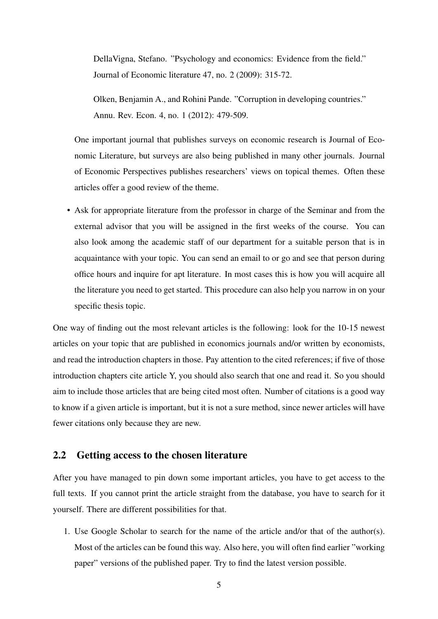DellaVigna, Stefano. "Psychology and economics: Evidence from the field." Journal of Economic literature 47, no. 2 (2009): 315-72.

Olken, Benjamin A., and Rohini Pande. "Corruption in developing countries." Annu. Rev. Econ. 4, no. 1 (2012): 479-509.

One important journal that publishes surveys on economic research is Journal of Economic Literature, but surveys are also being published in many other journals. Journal of Economic Perspectives publishes researchers' views on topical themes. Often these articles offer a good review of the theme.

• Ask for appropriate literature from the professor in charge of the Seminar and from the external advisor that you will be assigned in the first weeks of the course. You can also look among the academic staff of our department for a suitable person that is in acquaintance with your topic. You can send an email to or go and see that person during office hours and inquire for apt literature. In most cases this is how you will acquire all the literature you need to get started. This procedure can also help you narrow in on your specific thesis topic.

One way of finding out the most relevant articles is the following: look for the 10-15 newest articles on your topic that are published in economics journals and/or written by economists, and read the introduction chapters in those. Pay attention to the cited references; if five of those introduction chapters cite article Y, you should also search that one and read it. So you should aim to include those articles that are being cited most often. Number of citations is a good way to know if a given article is important, but it is not a sure method, since newer articles will have fewer citations only because they are new.

# <span id="page-4-0"></span>2.2 Getting access to the chosen literature

After you have managed to pin down some important articles, you have to get access to the full texts. If you cannot print the article straight from the database, you have to search for it yourself. There are different possibilities for that.

1. Use Google Scholar to search for the name of the article and/or that of the author(s). Most of the articles can be found this way. Also here, you will often find earlier "working paper" versions of the published paper. Try to find the latest version possible.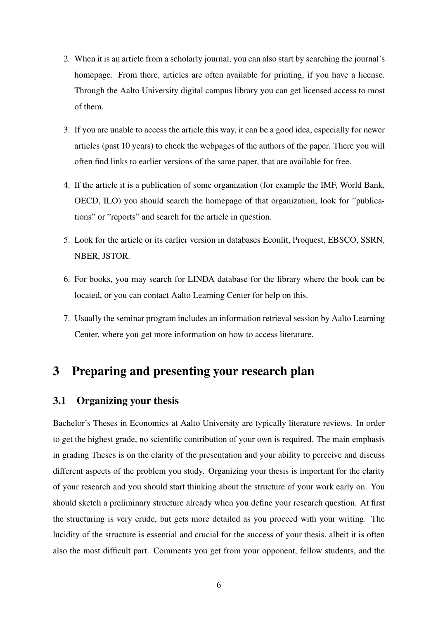- 2. When it is an article from a scholarly journal, you can also start by searching the journal's homepage. From there, articles are often available for printing, if you have a license. Through the Aalto University digital campus library you can get licensed access to most of them.
- 3. If you are unable to access the article this way, it can be a good idea, especially for newer articles (past 10 years) to check the webpages of the authors of the paper. There you will often find links to earlier versions of the same paper, that are available for free.
- 4. If the article it is a publication of some organization (for example the IMF, World Bank, OECD, ILO) you should search the homepage of that organization, look for "publications" or "reports" and search for the article in question.
- 5. Look for the article or its earlier version in databases Econlit, Proquest, EBSCO, SSRN, NBER, JSTOR.
- 6. For books, you may search for LINDA database for the library where the book can be located, or you can contact Aalto Learning Center for help on this.
- 7. Usually the seminar program includes an information retrieval session by Aalto Learning Center, where you get more information on how to access literature.

# <span id="page-5-0"></span>3 Preparing and presenting your research plan

# <span id="page-5-1"></span>3.1 Organizing your thesis

Bachelor's Theses in Economics at Aalto University are typically literature reviews. In order to get the highest grade, no scientific contribution of your own is required. The main emphasis in grading Theses is on the clarity of the presentation and your ability to perceive and discuss different aspects of the problem you study. Organizing your thesis is important for the clarity of your research and you should start thinking about the structure of your work early on. You should sketch a preliminary structure already when you define your research question. At first the structuring is very crude, but gets more detailed as you proceed with your writing. The lucidity of the structure is essential and crucial for the success of your thesis, albeit it is often also the most difficult part. Comments you get from your opponent, fellow students, and the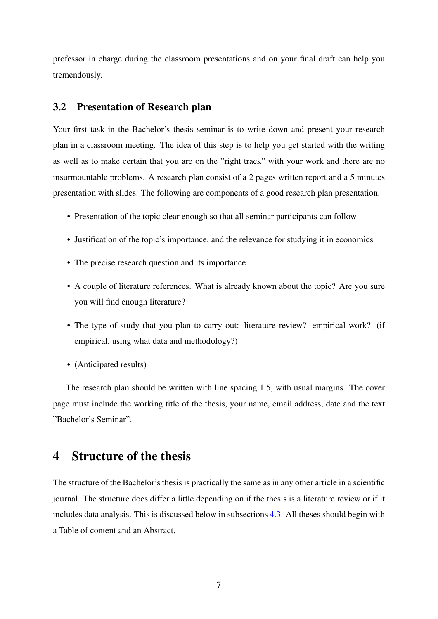professor in charge during the classroom presentations and on your final draft can help you tremendously.

# <span id="page-6-0"></span>3.2 Presentation of Research plan

Your first task in the Bachelor's thesis seminar is to write down and present your research plan in a classroom meeting. The idea of this step is to help you get started with the writing as well as to make certain that you are on the "right track" with your work and there are no insurmountable problems. A research plan consist of a 2 pages written report and a 5 minutes presentation with slides. The following are components of a good research plan presentation.

- Presentation of the topic clear enough so that all seminar participants can follow
- Justification of the topic's importance, and the relevance for studying it in economics
- The precise research question and its importance
- A couple of literature references. What is already known about the topic? Are you sure you will find enough literature?
- The type of study that you plan to carry out: literature review? empirical work? (if empirical, using what data and methodology?)
- (Anticipated results)

The research plan should be written with line spacing 1.5, with usual margins. The cover page must include the working title of the thesis, your name, email address, date and the text "Bachelor's Seminar".

# <span id="page-6-1"></span>4 Structure of the thesis

The structure of the Bachelor's thesis is practically the same as in any other article in a scientific journal. The structure does differ a little depending on if the thesis is a literature review or if it includes data analysis. This is discussed below in subsections [4.3.](#page-7-2) All theses should begin with a Table of content and an Abstract.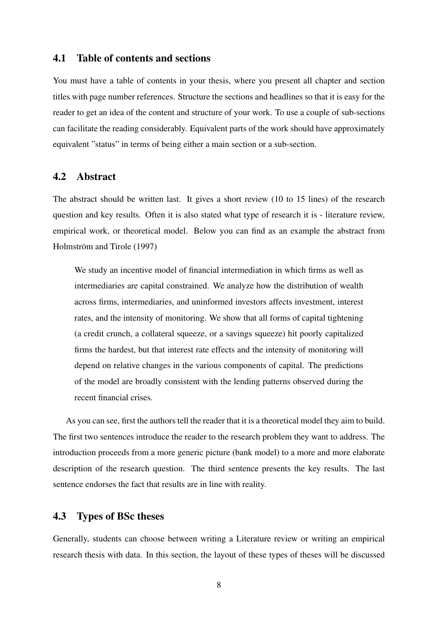# <span id="page-7-0"></span>4.1 Table of contents and sections

You must have a table of contents in your thesis, where you present all chapter and section titles with page number references. Structure the sections and headlines so that it is easy for the reader to get an idea of the content and structure of your work. To use a couple of sub-sections can facilitate the reading considerably. Equivalent parts of the work should have approximately equivalent "status" in terms of being either a main section or a sub-section.

# <span id="page-7-1"></span>4.2 Abstract

The abstract should be written last. It gives a short review (10 to 15 lines) of the research question and key results. Often it is also stated what type of research it is - literature review, empirical work, or theoretical model. Below you can find as an example the abstract from Holmström and Tirole (1997)

We study an incentive model of financial intermediation in which firms as well as intermediaries are capital constrained. We analyze how the distribution of wealth across firms, intermediaries, and uninformed investors affects investment, interest rates, and the intensity of monitoring. We show that all forms of capital tightening (a credit crunch, a collateral squeeze, or a savings squeeze) hit poorly capitalized firms the hardest, but that interest rate effects and the intensity of monitoring will depend on relative changes in the various components of capital. The predictions of the model are broadly consistent with the lending patterns observed during the recent financial crises.

As you can see, first the authors tell the reader that it is a theoretical model they aim to build. The first two sentences introduce the reader to the research problem they want to address. The introduction proceeds from a more generic picture (bank model) to a more and more elaborate description of the research question. The third sentence presents the key results. The last sentence endorses the fact that results are in line with reality.

## <span id="page-7-2"></span>4.3 Types of BSc theses

Generally, students can choose between writing a Literature review or writing an empirical research thesis with data. In this section, the layout of these types of theses will be discussed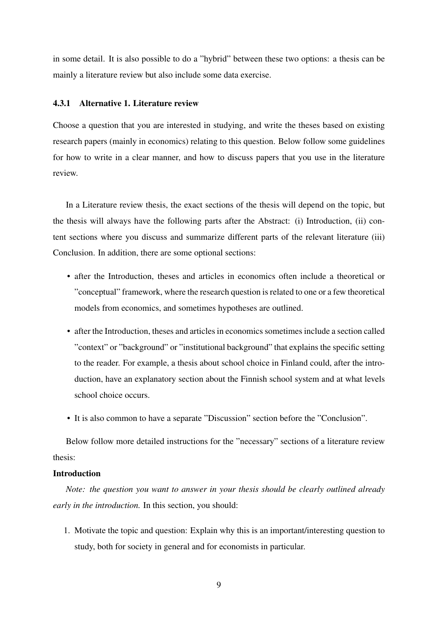in some detail. It is also possible to do a "hybrid" between these two options: a thesis can be mainly a literature review but also include some data exercise.

#### <span id="page-8-0"></span>4.3.1 Alternative 1. Literature review

Choose a question that you are interested in studying, and write the theses based on existing research papers (mainly in economics) relating to this question. Below follow some guidelines for how to write in a clear manner, and how to discuss papers that you use in the literature review.

In a Literature review thesis, the exact sections of the thesis will depend on the topic, but the thesis will always have the following parts after the Abstract: (i) Introduction, (ii) content sections where you discuss and summarize different parts of the relevant literature (iii) Conclusion. In addition, there are some optional sections:

- after the Introduction, theses and articles in economics often include a theoretical or "conceptual" framework, where the research question is related to one or a few theoretical models from economics, and sometimes hypotheses are outlined.
- after the Introduction, theses and articles in economics sometimes include a section called "context" or "background" or "institutional background" that explains the specific setting to the reader. For example, a thesis about school choice in Finland could, after the introduction, have an explanatory section about the Finnish school system and at what levels school choice occurs.
- It is also common to have a separate "Discussion" section before the "Conclusion".

Below follow more detailed instructions for the "necessary" sections of a literature review thesis:

### Introduction

*Note: the question you want to answer in your thesis should be clearly outlined already early in the introduction.* In this section, you should:

1. Motivate the topic and question: Explain why this is an important/interesting question to study, both for society in general and for economists in particular.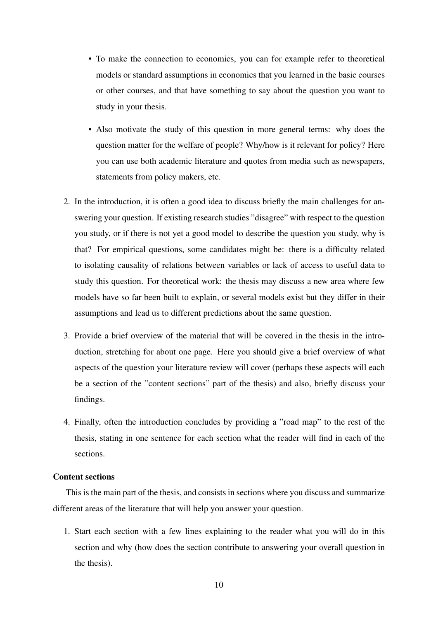- To make the connection to economics, you can for example refer to theoretical models or standard assumptions in economics that you learned in the basic courses or other courses, and that have something to say about the question you want to study in your thesis.
- Also motivate the study of this question in more general terms: why does the question matter for the welfare of people? Why/how is it relevant for policy? Here you can use both academic literature and quotes from media such as newspapers, statements from policy makers, etc.
- 2. In the introduction, it is often a good idea to discuss briefly the main challenges for answering your question. If existing research studies "disagree" with respect to the question you study, or if there is not yet a good model to describe the question you study, why is that? For empirical questions, some candidates might be: there is a difficulty related to isolating causality of relations between variables or lack of access to useful data to study this question. For theoretical work: the thesis may discuss a new area where few models have so far been built to explain, or several models exist but they differ in their assumptions and lead us to different predictions about the same question.
- 3. Provide a brief overview of the material that will be covered in the thesis in the introduction, stretching for about one page. Here you should give a brief overview of what aspects of the question your literature review will cover (perhaps these aspects will each be a section of the "content sections" part of the thesis) and also, briefly discuss your findings.
- 4. Finally, often the introduction concludes by providing a "road map" to the rest of the thesis, stating in one sentence for each section what the reader will find in each of the sections.

#### Content sections

This is the main part of the thesis, and consists in sections where you discuss and summarize different areas of the literature that will help you answer your question.

1. Start each section with a few lines explaining to the reader what you will do in this section and why (how does the section contribute to answering your overall question in the thesis).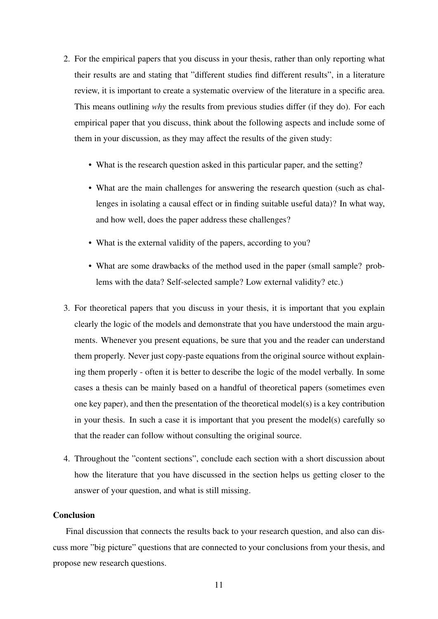- 2. For the empirical papers that you discuss in your thesis, rather than only reporting what their results are and stating that "different studies find different results", in a literature review, it is important to create a systematic overview of the literature in a specific area. This means outlining *why* the results from previous studies differ (if they do). For each empirical paper that you discuss, think about the following aspects and include some of them in your discussion, as they may affect the results of the given study:
	- What is the research question asked in this particular paper, and the setting?
	- What are the main challenges for answering the research question (such as challenges in isolating a causal effect or in finding suitable useful data)? In what way, and how well, does the paper address these challenges?
	- What is the external validity of the papers, according to you?
	- What are some drawbacks of the method used in the paper (small sample? problems with the data? Self-selected sample? Low external validity? etc.)
- 3. For theoretical papers that you discuss in your thesis, it is important that you explain clearly the logic of the models and demonstrate that you have understood the main arguments. Whenever you present equations, be sure that you and the reader can understand them properly. Never just copy-paste equations from the original source without explaining them properly - often it is better to describe the logic of the model verbally. In some cases a thesis can be mainly based on a handful of theoretical papers (sometimes even one key paper), and then the presentation of the theoretical model(s) is a key contribution in your thesis. In such a case it is important that you present the model(s) carefully so that the reader can follow without consulting the original source.
- 4. Throughout the "content sections", conclude each section with a short discussion about how the literature that you have discussed in the section helps us getting closer to the answer of your question, and what is still missing.

### Conclusion

Final discussion that connects the results back to your research question, and also can discuss more "big picture" questions that are connected to your conclusions from your thesis, and propose new research questions.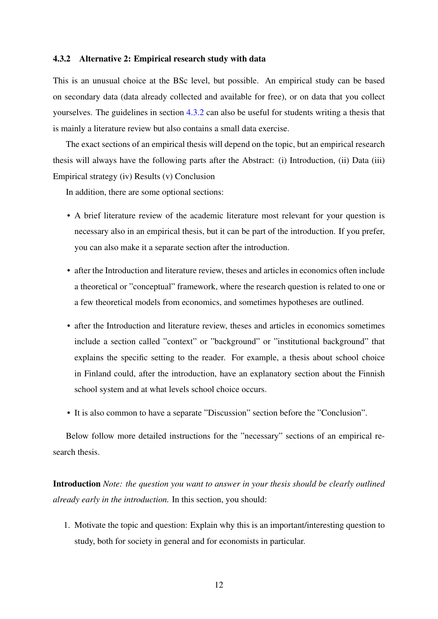#### <span id="page-11-0"></span>4.3.2 Alternative 2: Empirical research study with data

This is an unusual choice at the BSc level, but possible. An empirical study can be based on secondary data (data already collected and available for free), or on data that you collect yourselves. The guidelines in section [4.3.2](#page-11-0) can also be useful for students writing a thesis that is mainly a literature review but also contains a small data exercise.

The exact sections of an empirical thesis will depend on the topic, but an empirical research thesis will always have the following parts after the Abstract: (i) Introduction, (ii) Data (iii) Empirical strategy (iv) Results (v) Conclusion

In addition, there are some optional sections:

- A brief literature review of the academic literature most relevant for your question is necessary also in an empirical thesis, but it can be part of the introduction. If you prefer, you can also make it a separate section after the introduction.
- after the Introduction and literature review, theses and articles in economics often include a theoretical or "conceptual" framework, where the research question is related to one or a few theoretical models from economics, and sometimes hypotheses are outlined.
- after the Introduction and literature review, theses and articles in economics sometimes include a section called "context" or "background" or "institutional background" that explains the specific setting to the reader. For example, a thesis about school choice in Finland could, after the introduction, have an explanatory section about the Finnish school system and at what levels school choice occurs.
- It is also common to have a separate "Discussion" section before the "Conclusion".

Below follow more detailed instructions for the "necessary" sections of an empirical research thesis.

Introduction *Note: the question you want to answer in your thesis should be clearly outlined already early in the introduction.* In this section, you should:

1. Motivate the topic and question: Explain why this is an important/interesting question to study, both for society in general and for economists in particular.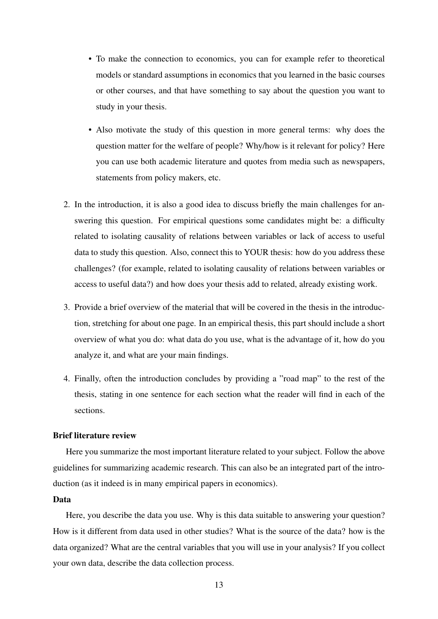- To make the connection to economics, you can for example refer to theoretical models or standard assumptions in economics that you learned in the basic courses or other courses, and that have something to say about the question you want to study in your thesis.
- Also motivate the study of this question in more general terms: why does the question matter for the welfare of people? Why/how is it relevant for policy? Here you can use both academic literature and quotes from media such as newspapers, statements from policy makers, etc.
- 2. In the introduction, it is also a good idea to discuss briefly the main challenges for answering this question. For empirical questions some candidates might be: a difficulty related to isolating causality of relations between variables or lack of access to useful data to study this question. Also, connect this to YOUR thesis: how do you address these challenges? (for example, related to isolating causality of relations between variables or access to useful data?) and how does your thesis add to related, already existing work.
- 3. Provide a brief overview of the material that will be covered in the thesis in the introduction, stretching for about one page. In an empirical thesis, this part should include a short overview of what you do: what data do you use, what is the advantage of it, how do you analyze it, and what are your main findings.
- 4. Finally, often the introduction concludes by providing a "road map" to the rest of the thesis, stating in one sentence for each section what the reader will find in each of the sections.

#### Brief literature review

Here you summarize the most important literature related to your subject. Follow the above guidelines for summarizing academic research. This can also be an integrated part of the introduction (as it indeed is in many empirical papers in economics).

#### Data

Here, you describe the data you use. Why is this data suitable to answering your question? How is it different from data used in other studies? What is the source of the data? how is the data organized? What are the central variables that you will use in your analysis? If you collect your own data, describe the data collection process.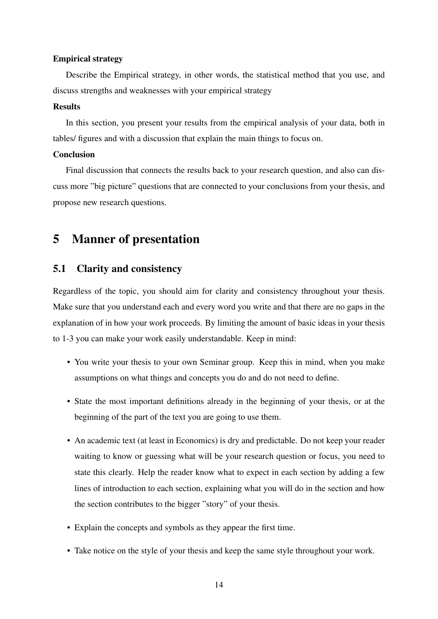#### Empirical strategy

Describe the Empirical strategy, in other words, the statistical method that you use, and discuss strengths and weaknesses with your empirical strategy

#### Results

In this section, you present your results from the empirical analysis of your data, both in tables/ figures and with a discussion that explain the main things to focus on.

### Conclusion

Final discussion that connects the results back to your research question, and also can discuss more "big picture" questions that are connected to your conclusions from your thesis, and propose new research questions.

# <span id="page-13-0"></span>5 Manner of presentation

### <span id="page-13-1"></span>5.1 Clarity and consistency

Regardless of the topic, you should aim for clarity and consistency throughout your thesis. Make sure that you understand each and every word you write and that there are no gaps in the explanation of in how your work proceeds. By limiting the amount of basic ideas in your thesis to 1-3 you can make your work easily understandable. Keep in mind:

- You write your thesis to your own Seminar group. Keep this in mind, when you make assumptions on what things and concepts you do and do not need to define.
- State the most important definitions already in the beginning of your thesis, or at the beginning of the part of the text you are going to use them.
- An academic text (at least in Economics) is dry and predictable. Do not keep your reader waiting to know or guessing what will be your research question or focus, you need to state this clearly. Help the reader know what to expect in each section by adding a few lines of introduction to each section, explaining what you will do in the section and how the section contributes to the bigger "story" of your thesis.
- Explain the concepts and symbols as they appear the first time.
- Take notice on the style of your thesis and keep the same style throughout your work.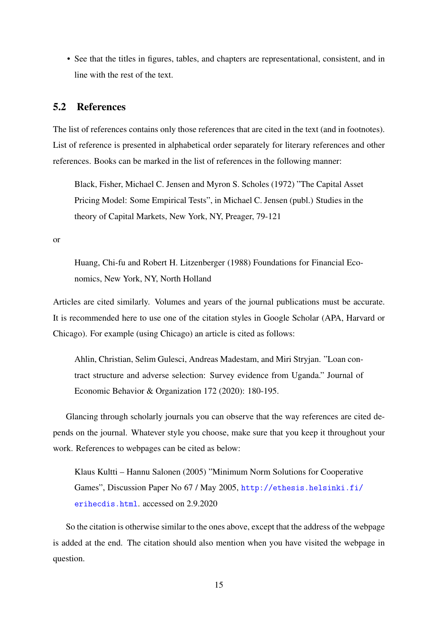• See that the titles in figures, tables, and chapters are representational, consistent, and in line with the rest of the text.

# <span id="page-14-0"></span>5.2 References

The list of references contains only those references that are cited in the text (and in footnotes). List of reference is presented in alphabetical order separately for literary references and other references. Books can be marked in the list of references in the following manner:

Black, Fisher, Michael C. Jensen and Myron S. Scholes (1972) "The Capital Asset Pricing Model: Some Empirical Tests", in Michael C. Jensen (publ.) Studies in the theory of Capital Markets, New York, NY, Preager, 79-121

or

Huang, Chi-fu and Robert H. Litzenberger (1988) Foundations for Financial Economics, New York, NY, North Holland

Articles are cited similarly. Volumes and years of the journal publications must be accurate. It is recommended here to use one of the citation styles in Google Scholar (APA, Harvard or Chicago). For example (using Chicago) an article is cited as follows:

Ahlin, Christian, Selim Gulesci, Andreas Madestam, and Miri Stryjan. "Loan contract structure and adverse selection: Survey evidence from Uganda." Journal of Economic Behavior & Organization 172 (2020): 180-195.

Glancing through scholarly journals you can observe that the way references are cited depends on the journal. Whatever style you choose, make sure that you keep it throughout your work. References to webpages can be cited as below:

Klaus Kultti – Hannu Salonen (2005) "Minimum Norm Solutions for Cooperative Games", Discussion Paper No 67 / May 2005, [http://ethesis.helsinki.fi/](http://ethesis.helsinki.fi/erihecdis.html) [erihecdis.html](http://ethesis.helsinki.fi/erihecdis.html). accessed on 2.9.2020

So the citation is otherwise similar to the ones above, except that the address of the webpage is added at the end. The citation should also mention when you have visited the webpage in question.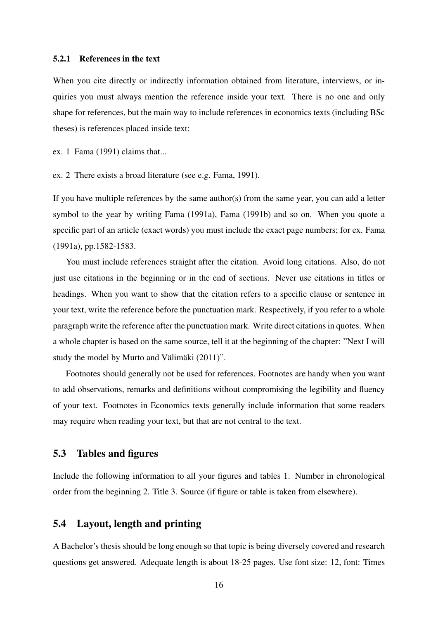#### <span id="page-15-0"></span>5.2.1 References in the text

When you cite directly or indirectly information obtained from literature, interviews, or inquiries you must always mention the reference inside your text. There is no one and only shape for references, but the main way to include references in economics texts (including BSc theses) is references placed inside text:

ex. 1 Fama (1991) claims that...

ex. 2 There exists a broad literature (see e.g. Fama, 1991).

If you have multiple references by the same author(s) from the same year, you can add a letter symbol to the year by writing Fama (1991a), Fama (1991b) and so on. When you quote a specific part of an article (exact words) you must include the exact page numbers; for ex. Fama (1991a), pp.1582-1583.

You must include references straight after the citation. Avoid long citations. Also, do not just use citations in the beginning or in the end of sections. Never use citations in titles or headings. When you want to show that the citation refers to a specific clause or sentence in your text, write the reference before the punctuation mark. Respectively, if you refer to a whole paragraph write the reference after the punctuation mark. Write direct citations in quotes. When a whole chapter is based on the same source, tell it at the beginning of the chapter: "Next I will study the model by Murto and Välimäki  $(2011)$ ".

Footnotes should generally not be used for references. Footnotes are handy when you want to add observations, remarks and definitions without compromising the legibility and fluency of your text. Footnotes in Economics texts generally include information that some readers may require when reading your text, but that are not central to the text.

### <span id="page-15-1"></span>5.3 Tables and figures

Include the following information to all your figures and tables 1. Number in chronological order from the beginning 2. Title 3. Source (if figure or table is taken from elsewhere).

# <span id="page-15-2"></span>5.4 Layout, length and printing

A Bachelor's thesis should be long enough so that topic is being diversely covered and research questions get answered. Adequate length is about 18-25 pages. Use font size: 12, font: Times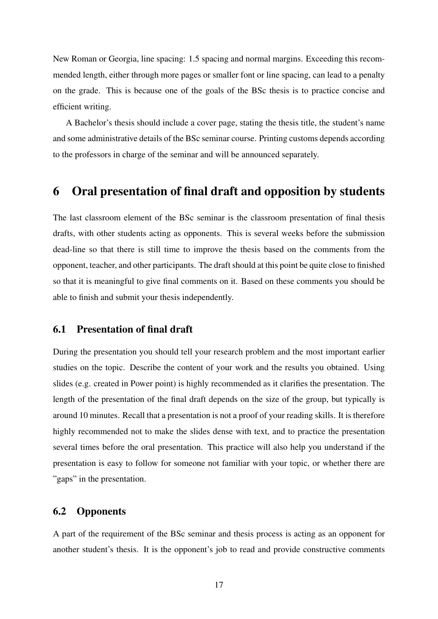New Roman or Georgia, line spacing: 1.5 spacing and normal margins. Exceeding this recommended length, either through more pages or smaller font or line spacing, can lead to a penalty on the grade. This is because one of the goals of the BSc thesis is to practice concise and efficient writing.

A Bachelor's thesis should include a cover page, stating the thesis title, the student's name and some administrative details of the BSc seminar course. Printing customs depends according to the professors in charge of the seminar and will be announced separately.

# <span id="page-16-0"></span>6 Oral presentation of final draft and opposition by students

The last classroom element of the BSc seminar is the classroom presentation of final thesis drafts, with other students acting as opponents. This is several weeks before the submission dead-line so that there is still time to improve the thesis based on the comments from the opponent, teacher, and other participants. The draft should at this point be quite close to finished so that it is meaningful to give final comments on it. Based on these comments you should be able to finish and submit your thesis independently.

# <span id="page-16-1"></span>6.1 Presentation of final draft

During the presentation you should tell your research problem and the most important earlier studies on the topic. Describe the content of your work and the results you obtained. Using slides (e.g. created in Power point) is highly recommended as it clarifies the presentation. The length of the presentation of the final draft depends on the size of the group, but typically is around 10 minutes. Recall that a presentation is not a proof of your reading skills. It is therefore highly recommended not to make the slides dense with text, and to practice the presentation several times before the oral presentation. This practice will also help you understand if the presentation is easy to follow for someone not familiar with your topic, or whether there are "gaps" in the presentation.

# <span id="page-16-2"></span>6.2 Opponents

A part of the requirement of the BSc seminar and thesis process is acting as an opponent for another student's thesis. It is the opponent's job to read and provide constructive comments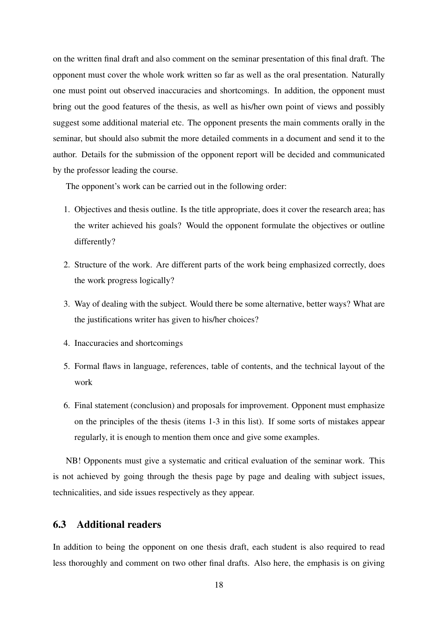on the written final draft and also comment on the seminar presentation of this final draft. The opponent must cover the whole work written so far as well as the oral presentation. Naturally one must point out observed inaccuracies and shortcomings. In addition, the opponent must bring out the good features of the thesis, as well as his/her own point of views and possibly suggest some additional material etc. The opponent presents the main comments orally in the seminar, but should also submit the more detailed comments in a document and send it to the author. Details for the submission of the opponent report will be decided and communicated by the professor leading the course.

The opponent's work can be carried out in the following order:

- 1. Objectives and thesis outline. Is the title appropriate, does it cover the research area; has the writer achieved his goals? Would the opponent formulate the objectives or outline differently?
- 2. Structure of the work. Are different parts of the work being emphasized correctly, does the work progress logically?
- 3. Way of dealing with the subject. Would there be some alternative, better ways? What are the justifications writer has given to his/her choices?
- 4. Inaccuracies and shortcomings
- 5. Formal flaws in language, references, table of contents, and the technical layout of the work
- 6. Final statement (conclusion) and proposals for improvement. Opponent must emphasize on the principles of the thesis (items 1-3 in this list). If some sorts of mistakes appear regularly, it is enough to mention them once and give some examples.

NB! Opponents must give a systematic and critical evaluation of the seminar work. This is not achieved by going through the thesis page by page and dealing with subject issues, technicalities, and side issues respectively as they appear.

### <span id="page-17-0"></span>6.3 Additional readers

In addition to being the opponent on one thesis draft, each student is also required to read less thoroughly and comment on two other final drafts. Also here, the emphasis is on giving